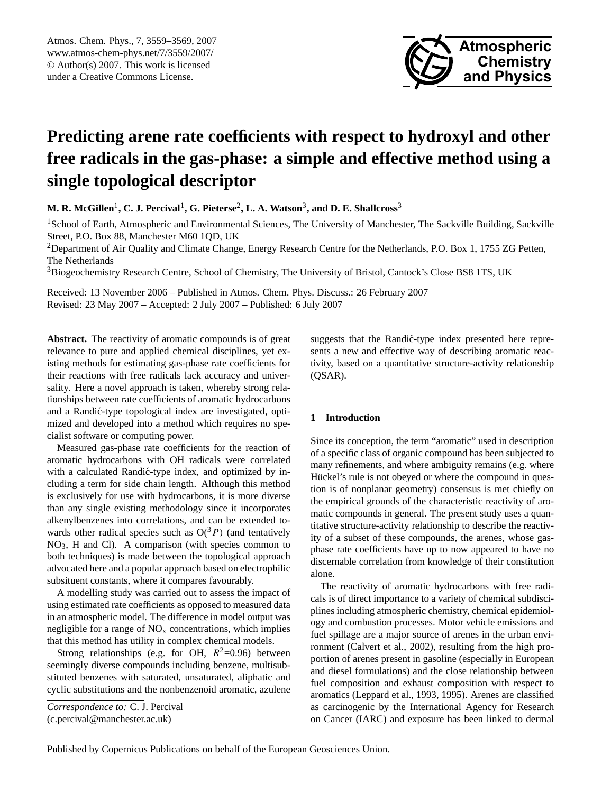

# <span id="page-0-0"></span>**Predicting arene rate coefficients with respect to hydroxyl and other free radicals in the gas-phase: a simple and effective method using a single topological descriptor**

**M. R. McGillen**<sup>1</sup> **, C. J. Percival**<sup>1</sup> **, G. Pieterse**<sup>2</sup> **, L. A. Watson**<sup>3</sup> **, and D. E. Shallcross**<sup>3</sup>

<sup>1</sup>School of Earth, Atmospheric and Environmental Sciences, The University of Manchester, The Sackville Building, Sackville Street, P.O. Box 88, Manchester M60 1QD, UK

<sup>2</sup>Department of Air Quality and Climate Change, Energy Research Centre for the Netherlands, P.O. Box 1, 1755 ZG Petten, The Netherlands

<sup>3</sup>Biogeochemistry Research Centre, School of Chemistry, The University of Bristol, Cantock's Close BS8 1TS, UK

Received: 13 November 2006 – Published in Atmos. Chem. Phys. Discuss.: 26 February 2007 Revised: 23 May 2007 – Accepted: 2 July 2007 – Published: 6 July 2007

**Abstract.** The reactivity of aromatic compounds is of great relevance to pure and applied chemical disciplines, yet existing methods for estimating gas-phase rate coefficients for their reactions with free radicals lack accuracy and universality. Here a novel approach is taken, whereby strong relationships between rate coefficients of aromatic hydrocarbons and a Randic-type topological index are investigated, opti- ´ mized and developed into a method which requires no specialist software or computing power.

Measured gas-phase rate coefficients for the reaction of aromatic hydrocarbons with OH radicals were correlated with a calculated Randić-type index, and optimized by including a term for side chain length. Although this method is exclusively for use with hydrocarbons, it is more diverse than any single existing methodology since it incorporates alkenylbenzenes into correlations, and can be extended towards other radical species such as  $O(^3P)$  (and tentatively NO3, H and Cl). A comparison (with species common to both techniques) is made between the topological approach advocated here and a popular approach based on electrophilic subsituent constants, where it compares favourably.

A modelling study was carried out to assess the impact of using estimated rate coefficients as opposed to measured data in an atmospheric model. The difference in model output was negligible for a range of  $NO<sub>x</sub>$  concentrations, which implies that this method has utility in complex chemical models.

Strong relationships (e.g. for OH,  $R^2=0.96$ ) between seemingly diverse compounds including benzene, multisubstituted benzenes with saturated, unsaturated, aliphatic and cyclic substitutions and the nonbenzenoid aromatic, azulene

*Correspondence to:* C. J. Percival

(c.percival@manchester.ac.uk)

suggests that the Randić-type index presented here represents a new and effective way of describing aromatic reactivity, based on a quantitative structure-activity relationship (QSAR).

# **1 Introduction**

Since its conception, the term "aromatic" used in description of a specific class of organic compound has been subjected to many refinements, and where ambiguity remains (e.g. where Hückel's rule is not obeyed or where the compound in question is of nonplanar geometry) consensus is met chiefly on the empirical grounds of the characteristic reactivity of aromatic compounds in general. The present study uses a quantitative structure-activity relationship to describe the reactivity of a subset of these compounds, the arenes, whose gasphase rate coefficients have up to now appeared to have no discernable correlation from knowledge of their constitution alone.

The reactivity of aromatic hydrocarbons with free radicals is of direct importance to a variety of chemical subdisciplines including atmospheric chemistry, chemical epidemiology and combustion processes. Motor vehicle emissions and fuel spillage are a major source of arenes in the urban environment (Calvert et al., 2002), resulting from the high proportion of arenes present in gasoline (especially in European and diesel formulations) and the close relationship between fuel composition and exhaust composition with respect to aromatics (Leppard et al., 1993, 1995). Arenes are classified as carcinogenic by the International Agency for Research on Cancer (IARC) and exposure has been linked to dermal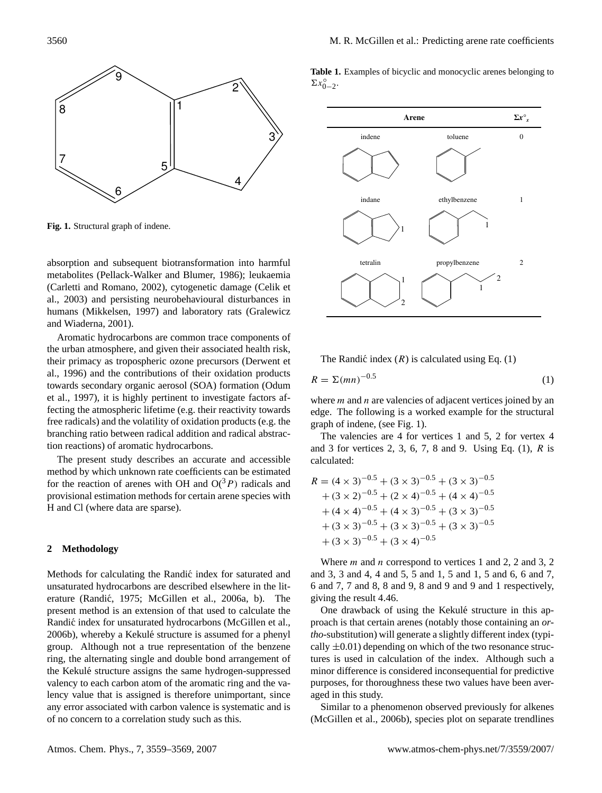

**Fig. 1.** Structural graph of indene.

*Figure 2.*  absorption and subsequent biotransformation into harmful humans (Mikkelsen, 1997) and laboratory rats (Gralewicz<br>and Wiaderna 2001) metabolites (Pellack-Walker and Blumer, 1986); leukaemia (Carletti and Romano, 2002), cytogenetic damage (Celik et al., 2003) and persisting neurobehavioural disturbances in and Wiaderna, 2001).

branching ratio between radical addition and tion reactions) of aromatic hydrocarbons. et al., 1997), it is highly pertinent to investigate factors af--10 their primacy as tropospheric ozone precursors (Derwent et et al., 1997), it is highly pertinent to investigate factors af-<br>fecting the atmospheric lifetime (e.g. their reactivity towards<br>free radicals) and the valatility of ovidation reachests (e.g. the Aromatic hydrocarbons are common trace components of the urban atmosphere, and given their associated health risk, al., 1996) and the contributions of their oxidation products towards secondary organic aerosol (SOA) formation (Odum free radicals) and the volatility of oxidation products (e.g. the branching ratio between radical addition and radical abstrac-

Fraction of arenes with OH and  $O(^3P)$  radicals and  $R = (4 \times 10^8)$ The present study describes an accurate and accessible method by which unknown rate coefficients can be estimated provisional estimation methods for certain arene species with H and Cl (where data are sparse).

#### **2 Methodology**

present method is an extension of that used to calculate the ency value that is assigned is therefore unimportant, since<br>any error associated with carbon valence is systematic and is ring, the alternating single and double bond arrangement of Free brand met for proposed in the control of a set of a set of responsible the value of r Ath any of r Ath and the control of  $\mathbf{A}$ Methods for calculating the Randić index for saturated and unsaturated hydrocarbons are described elsewhere in the literature (Randić, 1975; McGillen et al., 2006a, b). The Randić index for unsaturated hydrocarbons (McGillen et al., 2006b), whereby a Kekulé structure is assumed for a phenyl group. Although not a true representation of the benzene the Kekule structure assigns the same hydrogen-suppressed ´ valency to each carbon atom of the aromatic ring and the valency value that is assigned is therefore unimportant, since of no concern to a correlation study such as this.

Table 1. Examples of bicyclic and monocyclic arenes belonging to  $\Sigma x_{0-2}^{\circ}$ .



The Randić index  $(R)$  is calculated using Eq. (1)

$$
R = \Sigma (mn)^{-0.5} \tag{1}
$$

where  $m$  and  $n$  are valencies of adjacent vertices joined by an edge. The following is a worked example for the structural graph of indene, (see Fig. 1).

The valencies are 4 for vertices 1 and 5, 2 for vertex 4 and 3 for vertices 2, 3, 6, 7, 8 and 9. Using Eq.  $(1)$ , R is calculated:

$$
R = (4 \times 3)^{-0.5} + (3 \times 3)^{-0.5} + (3 \times 3)^{-0.5}
$$
  
\n
$$
+ (3 \times 2)^{-0.5} + (2 \times 4)^{-0.5} + (4 \times 4)^{-0.5}
$$
  
\n
$$
+ (4 \times 4)^{-0.5} + (4 \times 3)^{-0.5} + (3 \times 3)^{-0.5}
$$
  
\n
$$
+ (3 \times 3)^{-0.5} + (3 \times 3)^{-0.5} + (3 \times 3)^{-0.5}
$$
  
\n
$$
+ (3 \times 3)^{-0.5} + (3 \times 3)^{-0.5} + (3 \times 3)^{-0.5}
$$
  
\n
$$
+ (3 \times 3)^{-0.5} + (3 \times 4)^{-0.5}
$$
  
\n
$$
+ (3 \times 3)^{-0.5} + (3 \times 4)^{-0.5}
$$
  
\n
$$
+ (3 \times 3)^{-0.5} + (3 \times 4)^{-0.5}
$$

Where  $m$  and  $n$  correspond to vertices 1 and 2, 2 and 3, 2 and 3, 3 and 4, 4 and 5, 5 and 1, 5 and 1, 5 and 6, 6 and 7, 6 and 7, 7 and 8, 8 and 9, 8 and 9 and 9 and 1 respectively, giving the result 4.46.

One drawback of using the Kekulé structure in this approach is that certain arenes (notably those containing an *ortho*-substitution) will generate a slightly different index (typically  $\pm 0.01$ ) depending on which of the two resonance structures is used in calculation of the index. Although such a minor difference is considered inconsequential for predictive purposes, for thoroughness these two values have been averaged in this study.

Similar to a phenomenon observed previously for alkenes (McGillen et al., 2006b), species plot on separate trendlines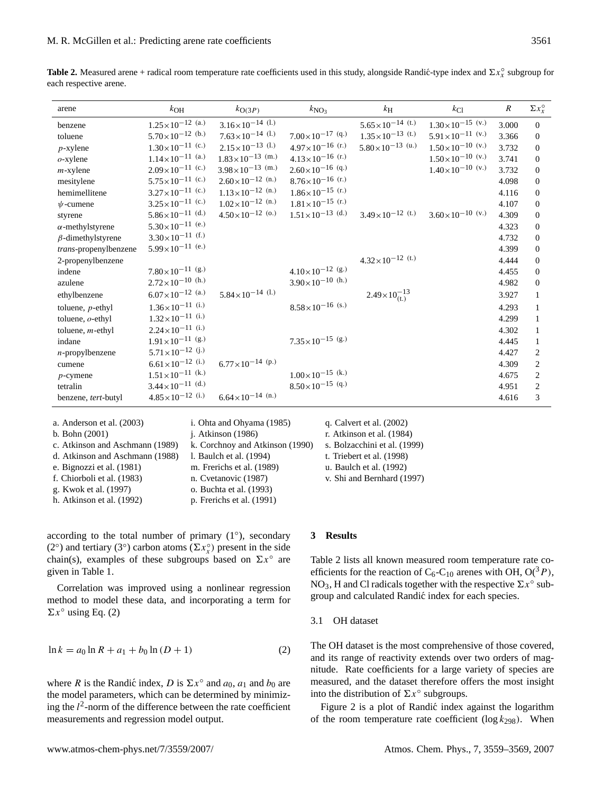**Table 2.** Measured arene + radical room temperature rate coefficients used in this study, alongside Randic-type index and  $\Sigma x_x^{\circ}$  subgroup for each respective arene.

| arene                        | $k_{\text{OH}}$             | $k_{\text{O}(3P)}$          | $k_{\text{NO}_3}$           | $k_{\rm H}$                 | $k_{\text{Cl}}$             | $\boldsymbol{R}$ | $\Sigma x_x^{\circ}$ |
|------------------------------|-----------------------------|-----------------------------|-----------------------------|-----------------------------|-----------------------------|------------------|----------------------|
| benzene                      | $1.25 \times 10^{-12}$ (a.) | $3.16 \times 10^{-14}$ (l.) |                             | $5.65 \times 10^{-14}$ (t.) | $1.30\times10^{-15}$ (v.)   | 3.000            | $\Omega$             |
| toluene                      | $5.70 \times 10^{-12}$ (b.) | $7.63\times10^{-14}$ (l.)   | $7.00\times10^{-17}$ (q.)   | $1.35 \times 10^{-13}$ (t.) | $5.91 \times 10^{-11}$ (v.) | 3.366            | $\Omega$             |
| $p$ -xylene                  | $1.30\times10^{-11}$ (c.)   | $2.15 \times 10^{-13}$ (l.) | $4.97 \times 10^{-16}$ (r.) | $5.80\times10^{-13}$ (u.)   | $1.50\times10^{-10}$ (v.)   | 3.732            | $\Omega$             |
| $o$ -xylene                  | $1.14 \times 10^{-11}$ (a.) | $1.83 \times 10^{-13}$ (m.) | $4.13 \times 10^{-16}$ (r.) |                             | $1.50\times10^{-10}$ (v.)   | 3.741            | $\Omega$             |
| $m$ -xylene                  | $2.09 \times 10^{-11}$ (c.) | $3.98 \times 10^{-13}$ (m.) | $2.60\times10^{-16}$ (q.)   |                             | $1.40\times10^{-10}$ (v.)   | 3.732            | $\Omega$             |
| mesitylene                   | $5.75 \times 10^{-11}$ (c.) | $2.60 \times 10^{-12}$ (n.) | $8.76 \times 10^{-16}$ (r.) |                             |                             | 4.098            | $\Omega$             |
| hemimellitene                | $3.27 \times 10^{-11}$ (c.) | $1.13 \times 10^{-12}$ (n.) | $1.86 \times 10^{-15}$ (r.) |                             |                             | 4.116            | $\Omega$             |
| $\psi$ -cumene               | $3.25 \times 10^{-11}$ (c.) | $1.02\times10^{-12}$ (n.)   | $1.81 \times 10^{-15}$ (r.) |                             |                             | 4.107            | $\Omega$             |
| styrene                      | $5.86 \times 10^{-11}$ (d.) | $4.50\times10^{-12}$ (0.)   | $1.51 \times 10^{-13}$ (d.) | $3.49 \times 10^{-12}$ (t.) | $3.60\times10^{-10}$ (v.)   | 4.309            | $\Omega$             |
| $\alpha$ -methylstyrene      | $5.30\times10^{-11}$ (e.)   |                             |                             |                             |                             | 4.323            | $\Omega$             |
| $\beta$ -dimethylstyrene     | $3.30\times10^{-11}$ (f.)   |                             |                             |                             |                             | 4.732            | $\Omega$             |
| <i>trans-propenylbenzene</i> | $5.99\times10^{-11}$ (e.)   |                             |                             |                             |                             | 4.399            | $\Omega$             |
| 2-propenylbenzene            |                             |                             |                             | $4.32 \times 10^{-12}$ (t.) |                             | 4.444            | $\Omega$             |
| indene                       | $7.80\times10^{-11}$ (g.)   |                             | $4.10\times10^{-12}$ (g.)   |                             |                             | 4.455            | $\Omega$             |
| azulene                      | $2.72 \times 10^{-10}$ (h.) |                             | $3.90 \times 10^{-10}$ (h.) |                             |                             | 4.982            | $\Omega$             |
| ethylbenzene                 | $6.07\times10^{-12}$ (a.)   | $5.84 \times 10^{-14}$ (l.) |                             | $2.49\times10^{-13}_{(t)}$  |                             | 3.927            | 1                    |
| toluene, $p$ -ethyl          | $1.36 \times 10^{-11}$ (i.) |                             | $8.58 \times 10^{-16}$ (s.) |                             |                             | 4.293            | $\mathbf{1}$         |
| toluene, $o$ -ethyl          | $1.32 \times 10^{-11}$ (i.) |                             |                             |                             |                             | 4.299            | 1                    |
| toluene, $m$ -ethyl          | $2.24 \times 10^{-11}$ (i.) |                             |                             |                             |                             | 4.302            | 1                    |
| indane                       | $1.91 \times 10^{-11}$ (g.) |                             | $7.35 \times 10^{-15}$ (g.) |                             |                             | 4.445            | 1                    |
| $n$ -propylbenzene           | $5.71 \times 10^{-12}$ (j.) |                             |                             |                             |                             | 4.427            | 2                    |
| cumene                       | $6.61\times10^{-12}$ (i.)   | $6.77 \times 10^{-14}$ (p.) |                             |                             |                             | 4.309            | $\overline{c}$       |
| $p$ -cymene                  | $1.51 \times 10^{-11}$ (k.) |                             | $1.00\times10^{-15}$ (k.)   |                             |                             | 4.675            | $\overline{c}$       |
| tetralin                     | $3.44 \times 10^{-11}$ (d.) |                             | $8.50\times10^{-15}$ (q.)   |                             |                             | 4.951            | $\overline{c}$       |
| benzene, <i>tert</i> -butyl  | $4.85 \times 10^{-12}$ (i.) | $6.64 \times 10^{-14}$ (n.) |                             |                             |                             | 4.616            | 3                    |

| a. Anderson et al. (2003)       | i. Ohta and Ohyama (1985)       | q. Calvert et al. $(2002)$   |
|---------------------------------|---------------------------------|------------------------------|
| b. Bohn (2001)                  | j. Atkinson $(1986)$            | r. Atkinson et al. (1984)    |
| c. Atkinson and Aschmann (1989) | k. Corchnoy and Atkinson (1990) | s. Bolzacchini et al. (1999) |
| d. Atkinson and Aschmann (1988) | 1. Baulch et al. (1994)         | t. Triebert et al. (1998)    |
| e. Bignozzi et al. (1981)       | m. Frerichs et al. (1989)       | u. Baulch et al. (1992)      |
| f. Chiorboli et al. (1983)      | n. Cvetanovic (1987)            | v. Shi and Bernhard (1997)   |
| g. Kwok et al. (1997)           | o. Buchta et al. (1993)         |                              |
| h. Atkinson et al. (1992)       | p. Frerichs et al. (1991)       |                              |
|                                 |                                 |                              |

according to the total number of primary (1◦ ), secondary (2<sup>°</sup>) and tertiary (3<sup>°</sup>) carbon atoms  $(\Sigma x_x^{\circ})$  present in the side chain(s), examples of these subgroups based on  $\Sigma x$ ° are given in Table 1.

Correlation was improved using a nonlinear regression method to model these data, and incorporating a term for  $\Sigma x^{\circ}$  using Eq. (2)

$$
\ln k = a_0 \ln R + a_1 + b_0 \ln (D + 1)
$$
 (2)

where R is the Randic index, D is  $\Sigma x$ <sup>°</sup> and  $a_0$ ,  $a_1$  and  $b_0$  are the model parameters, which can be determined by minimizing the  $l^2$ -norm of the difference between the rate coefficient measurements and regression model output.

# **3 Results**

Table 2 lists all known measured room temperature rate coefficients for the reaction of  $C_6$ -C<sub>10</sub> arenes with OH, O(<sup>3</sup>P), NO<sub>3</sub>, H and Cl radicals together with the respective  $\Sigma x$ <sup>°</sup> subgroup and calculated Randic index for each species. ´

#### 3.1 OH dataset

The OH dataset is the most comprehensive of those covered, and its range of reactivity extends over two orders of magnitude. Rate coefficients for a large variety of species are measured, and the dataset therefore offers the most insight into the distribution of  $\Sigma x$ ° subgroups.

Figure 2 is a plot of Randić index against the logarithm of the room temperature rate coefficient ( $\log k_{298}$ ). When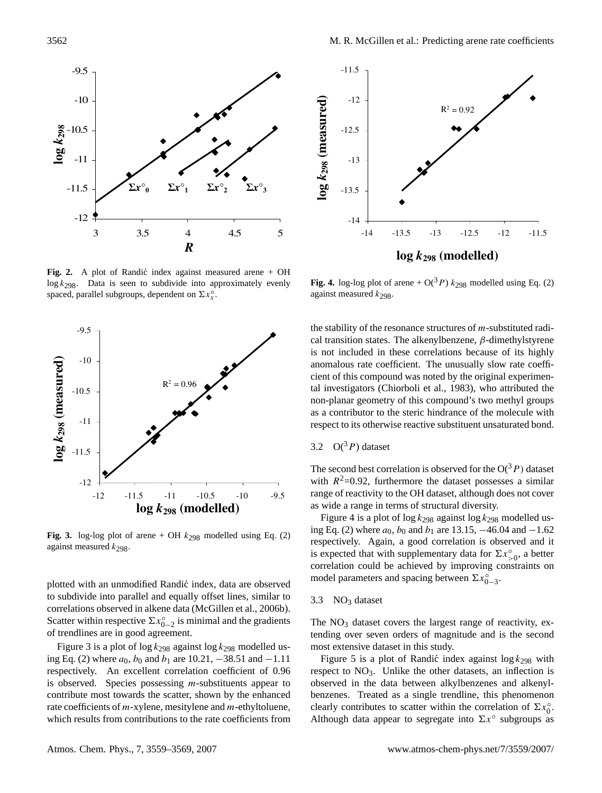

**Fig. 2.** A piot of Randic moex against measured are  $\theta$  + Ori $\log k_{298}$ . Data is seen to subdivide into approximately evenly **Fig. 2.** A plot of Randić index against measured arene + OH spaced, parallel subgroups, dependent on  $\Sigma x_x^{\circ}$ .



**Fig. 3.** log-log plot of arene + OH  $k_{298}$  modelled using Eq. (2) against measured  $k_{298}$ .

plotted with an unmodified Randic index, data are observed ´ to subdivide into parallel and equally offset lines, similar to correlations observed in alkene data (McGillen et al., 2006b). Scatter within respective  $\Sigma x_{0-2}^{\circ}$  is minimal and the gradients of trendlines are in good agreement.

Figure 3 is a plot of  $\log k_{298}$  against  $\log k_{298}$  modelled using Eq. (2) where  $a_0$ ,  $b_0$  and  $b_1$  are 10.21,  $-38.51$  and  $-1.11$ respectively. An excellent correlation coefficient of 0.96 is observed. Species possessing m-substituents appear to contribute most towards the scatter, shown by the enhanced rate coefficients of *m*-xylene, mesitylene and *m*-ethyltoluene, which results from contributions to the rate coefficients from



against measured  $k_{298}$ . **Fig. 4.** log-log plot of arene +  $O(^3P)$  k<sub>298</sub> modelled using Eq. (2)

as a contributor to the steric inhurance or the morecule with<br>respect to its otherwise reactive substituent unsaturated bond. non-planar geometry of this compound's two methyl groups cient of this compound was noted by the original experimenis not included in these correlations because of its highly the stability of the resonance structures of  $m$ -substituted radi*k***298 (measured)**  as a contributor to the steric hindrance of the molecule with  $c$ **al transition states. The alkenylbenzene,**  $\beta$ **-dimethylstyrene** anomalous rate coefficient. The unusually slow rate coeffital investigators (Chiorboli et al., 1983), who attributed the

# 3.2  $O(^3P)$  dataset

with  $R^2$ =0.92, furthermore the dataset possesses a similar range of reactivity to the OH dataset, although does not cover as wide a range in terms of structural diversity.<br>Figure 4 is a plat of land consinct land. The second best correlation is observed for the  $O(^3P)$  dataset

Figure 4 is a plot of  $\log k_{298}$  against  $\log k_{298}$  modelled using Eq. (2) where  $a_0$ ,  $b_0$  and  $b_1$  are 13.15,  $-46.04$  and  $-1.62$ respectively. Again, a good correlation is observed and it is expected that with supplementary data for  $\Sigma x_{>0}^{\circ}$ , a better correlation could be achieved by improving constraints on model parameters and spacing between  $\Sigma x_{0-3}^{\circ}$ .

#### 3.3  $NO<sub>3</sub>$  dataset

The  $NO<sub>3</sub>$  dataset covers the largest range of reactivity, extending over seven orders of magnitude and is the second most extensive dataset in this study.

Figure 5 is a plot of Randić index against  $\log k_{298}$  with respect to  $NO<sub>3</sub>$ . Unlike the other datasets, an inflection is observed in the data between alkylbenzenes and alkenylbenzenes. Treated as a single trendline, this phenomenon clearly contributes to scatter within the correlation of  $\Sigma x_0^{\circ}$ . Although data appear to segregate into  $\Sigma x$ ° subgroups as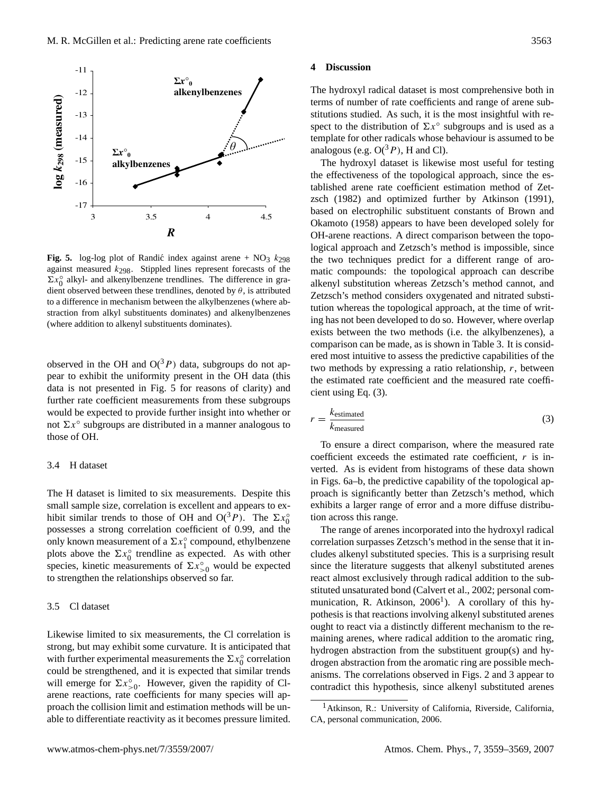

Fig. 5. log-log plot of Randić index against arene +  $NO<sub>3</sub>$   $k<sub>298</sub>$ against measured  $k_{298}$ . Stippled lines represent forecasts of the  $\Sigma x_0^{\circ}$  alkyl- and alkenylbenzene trendlines. The difference in gradient observed between these trendlines, denoted by  $\theta$ , is attributed to a difference in mechanism between the alkylbenzenes (where abstraction from alkyl substituents dominates) and alkenylbenzenes (where addition to alkenyl substituents dominates).

observed in the OH and  $O(^3P)$  data, subgroups do not appear to exhibit the uniformity present in the OH data (this data is not presented in Fig. 5 for reasons of clarity) and further rate coefficient measurements from these subgroups would be expected to provide further insight into whether or not  $\Sigma x$ ° subgroups are distributed in a manner analogous to those of OH.

#### 3.4 H dataset

The H dataset is limited to six measurements. Despite this small sample size, correlation is excellent and appears to exhibit similar trends to those of OH and O( ${}^{3}P$ ). The  $\Sigma x_{0}^{\circ}$ possesses a strong correlation coefficient of 0.99, and the only known measurement of a  $\Sigma x_1^{\circ}$  compound, ethylbenzene plots above the  $\Sigma x_0^{\circ}$  trendline as expected. As with other species, kinetic measurements of  $\Sigma_{\infty}$ <sup>o</sup> would be expected to strengthen the relationships observed so far.

#### 3.5 Cl dataset

Likewise limited to six measurements, the Cl correlation is strong, but may exhibit some curvature. It is anticipated that with further experimental measurements the  $\Sigma x_0^{\circ}$  correlation could be strengthened, and it is expected that similar trends will emerge for  $\Sigma x_{>0}^{\circ}$ . However, given the rapidity of Clarene reactions, rate coefficients for many species will approach the collision limit and estimation methods will be unable to differentiate reactivity as it becomes pressure limited.

#### **4 Discussion**

The hydroxyl radical dataset is most comprehensive both in terms of number of rate coefficients and range of arene substitutions studied. As such, it is the most insightful with respect to the distribution of  $\Sigma x$ ° subgroups and is used as a template for other radicals whose behaviour is assumed to be analogous (e.g.  $O({}^3P)$ , H and Cl).

The hydroxyl dataset is likewise most useful for testing the effectiveness of the topological approach, since the established arene rate coefficient estimation method of Zetzsch (1982) and optimized further by Atkinson (1991), based on electrophilic substituent constants of Brown and Okamoto (1958) appears to have been developed solely for OH-arene reactions. A direct comparison between the topological approach and Zetzsch's method is impossible, since the two techniques predict for a different range of aromatic compounds: the topological approach can describe alkenyl substitution whereas Zetzsch's method cannot, and Zetzsch's method considers oxygenated and nitrated substitution whereas the topological approach, at the time of writing has not been developed to do so. However, where overlap exists between the two methods (i.e. the alkylbenzenes), a comparison can be made, as is shown in Table 3. It is considered most intuitive to assess the predictive capabilities of the two methods by expressing a ratio relationship, r, between the estimated rate coefficient and the measured rate coefficient using Eq. (3).

$$
r = \frac{k_{\text{estimated}}}{k_{\text{measured}}} \tag{3}
$$

To ensure a direct comparison, where the measured rate coefficient exceeds the estimated rate coefficient,  $r$  is inverted. As is evident from histograms of these data shown in Figs. 6a–b, the predictive capability of the topological approach is significantly better than Zetzsch's method, which exhibits a larger range of error and a more diffuse distribution across this range.

The range of arenes incorporated into the hydroxyl radical correlation surpasses Zetzsch's method in the sense that it includes alkenyl substituted species. This is a surprising result since the literature suggests that alkenyl substituted arenes react almost exclusively through radical addition to the substituted unsaturated bond (Calvert et al., 2002; personal communication, R. Atkinson,  $2006<sup>1</sup>$  $2006<sup>1</sup>$  $2006<sup>1</sup>$ ). A corollary of this hypothesis is that reactions involving alkenyl substituted arenes ought to react via a distinctly different mechanism to the remaining arenes, where radical addition to the aromatic ring, hydrogen abstraction from the substituent group(s) and hydrogen abstraction from the aromatic ring are possible mechanisms. The correlations observed in Figs. 2 and 3 appear to contradict this hypothesis, since alkenyl substituted arenes

<span id="page-4-0"></span><sup>&</sup>lt;sup>1</sup>Atkinson, R.: University of California, Riverside, California, CA, personal communication, 2006.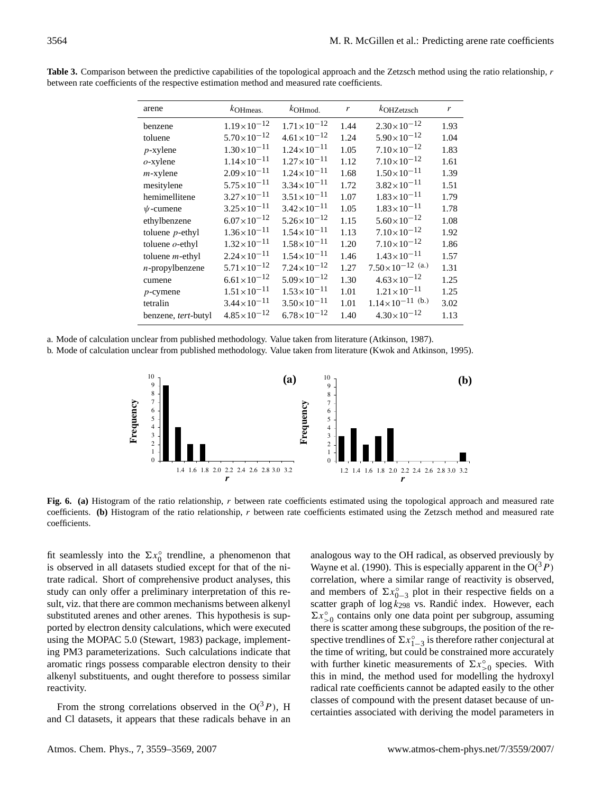| arene                       | $k$ OHmeas.            | $k$ OHmod.             | r    | $k$ OHZetzsch               | r    |
|-----------------------------|------------------------|------------------------|------|-----------------------------|------|
| benzene                     | $1.19 \times 10^{-12}$ | $1.71 \times 10^{-12}$ | 1.44 | $2.30 \times 10^{-12}$      | 1.93 |
| toluene                     | $5.70 \times 10^{-12}$ | $4.61 \times 10^{-12}$ | 1.24 | $5.90 \times 10^{-12}$      | 1.04 |
| $p$ -xylene                 | $1.30 \times 10^{-11}$ | $1.24 \times 10^{-11}$ | 1.05 | $7.10\times10^{-12}$        | 1.83 |
| $o$ -xylene                 | $1.14 \times 10^{-11}$ | $1.27 \times 10^{-11}$ | 1.12 | $7.10\times10^{-12}$        | 1.61 |
| $m$ -xylene                 | $2.09 \times 10^{-11}$ | $1.24 \times 10^{-11}$ | 1.68 | $1.50\times10^{-11}$        | 1.39 |
| mesitylene                  | $5.75 \times 10^{-11}$ | $3.34 \times 10^{-11}$ | 1.72 | $3.82 \times 10^{-11}$      | 1.51 |
| hemimellitene               | $3.27 \times 10^{-11}$ | $3.51 \times 10^{-11}$ | 1.07 | $1.83 \times 10^{-11}$      | 1.79 |
| $\psi$ -cumene              | $3.25 \times 10^{-11}$ | $3.42\times10^{-11}$   | 1.05 | $1.83 \times 10^{-11}$      | 1.78 |
| ethylbenzene                | $6.07 \times 10^{-12}$ | $5.26 \times 10^{-12}$ | 1.15 | $5.60\times10^{-12}$        | 1.08 |
| toluene $p$ -ethyl          | $1.36 \times 10^{-11}$ | $1.54 \times 10^{-11}$ | 1.13 | $7.10\times10^{-12}$        | 1.92 |
| toluene $o$ -ethyl          | $1.32 \times 10^{-11}$ | $1.58\times10^{-11}$   | 1.20 | $7.10\times10^{-12}$        | 1.86 |
| toluene $m$ -ethyl          | $2.24 \times 10^{-11}$ | $1.54 \times 10^{-11}$ | 1.46 | $1.43 \times 10^{-11}$      | 1.57 |
| $n$ -propylbenzene          | $5.71 \times 10^{-12}$ | $7.24 \times 10^{-12}$ | 1.27 | $7.50\times10^{-12}$ (a.)   | 1.31 |
| cumene                      | $6.61 \times 10^{-12}$ | $5.09 \times 10^{-12}$ | 1.30 | $4.63 \times 10^{-12}$      | 1.25 |
| $p$ -cymene                 | $1.51 \times 10^{-11}$ | $1.53 \times 10^{-11}$ | 1.01 | $1.21 \times 10^{-11}$      | 1.25 |
| tetralin                    | $3.44 \times 10^{-11}$ | $3.50\times10^{-11}$   | 1.01 | $1.14 \times 10^{-11}$ (b.) | 3.02 |
| benzene, <i>tert</i> -butyl | $4.85 \times 10^{-12}$ | $6.78 \times 10^{-12}$ | 1.40 | $4.30 \times 10^{-12}$      | 1.13 |
|                             |                        |                        |      |                             |      |

Table 3. Comparison between the predictive capabilities of the topological approach and the Zetzsch method using the ratio relationship, r between rate coefficients of the respective estimation method and measured rate coefficients.

a. Mode of calculation unclear from published methodology. Value taken from literature (Atkinson, 1987).

b. Mode of calculation unclear from published methodology. Value taken from literature (Kwok and Atkinson, 1995).



Fig. 6. (a) Histogram of the ratio relationship, r between rate coefficients estimated using the topological approach and measured rate coefficients. **(b)** Histogram of the ratio relationship, r between rate coefficients estimated using the Zetzsch method and measured rate coefficients.

fit seamlessly into the  $\Sigma x_0$ <sup>°</sup> trendline, a phenomenon that is observed in all datasets studied except for that of the nitrate radical. Short of comprehensive product analyses, this study can only offer a preliminary interpretation of this result, viz. that there are common mechanisms between alkenyl substituted arenes and other arenes. This hypothesis is supported by electron density calculations, which were executed using the MOPAC 5.0 (Stewart, 1983) package, implementing PM3 parameterizations. Such calculations indicate that aromatic rings possess comparable electron density to their alkenyl substituents, and ought therefore to possess similar reactivity.

From the strong correlations observed in the  $O(^3P)$ , H and Cl datasets, it appears that these radicals behave in an

analogous way to the OH radical, as observed previously by Wayne et al. (1990). This is especially apparent in the  $O(^3P)$ correlation, where a similar range of reactivity is observed, and members of  $\Sigma x_{0-3}^{\circ}$  plot in their respective fields on a scatter graph of  $\log k_{298}$  vs. Randić index. However, each  $\Sigma x_{>0}^{\circ}$  contains only one data point per subgroup, assuming there is scatter among these subgroups, the position of the respective trendlines of  $\Sigma x_{1-3}^{\circ}$  is therefore rather conjectural at the time of writing, but could be constrained more accurately with further kinetic measurements of  $\Sigma x_{>0}^{\circ}$  species. With this in mind, the method used for modelling the hydroxyl radical rate coefficients cannot be adapted easily to the other classes of compound with the present dataset because of uncertainties associated with deriving the model parameters in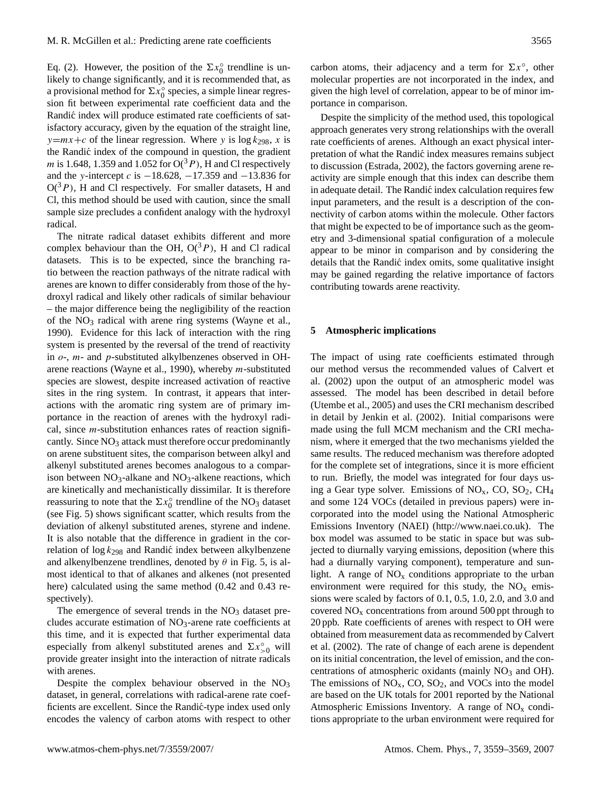Eq. (2). However, the position of the  $\Sigma x_0^{\circ}$  trendline is unlikely to change significantly, and it is recommended that, as a provisional method for  $\Sigma x_0$ <sup>°</sup> species, a simple linear regression fit between experimental rate coefficient data and the Randić index will produce estimated rate coefficients of satisfactory accuracy, given by the equation of the straight line,  $y=mx+c$  of the linear regression. Where y is log  $k_{298}$ , x is the Randic index of the compound in question, the gradient ´ m is 1.648, 1.359 and 1.052 for  $O(^3P)$ , H and Cl respectively and the y-intercept c is  $-18.628$ ,  $-17.359$  and  $-13.836$  for  $O({}^3P)$ , H and Cl respectively. For smaller datasets, H and Cl, this method should be used with caution, since the small sample size precludes a confident analogy with the hydroxyl radical.

The nitrate radical dataset exhibits different and more complex behaviour than the OH,  $O(^3P)$ , H and Cl radical datasets. This is to be expected, since the branching ratio between the reaction pathways of the nitrate radical with arenes are known to differ considerably from those of the hydroxyl radical and likely other radicals of similar behaviour – the major difference being the negligibility of the reaction of the  $NO<sub>3</sub>$  radical with arene ring systems (Wayne et al., 1990). Evidence for this lack of interaction with the ring system is presented by the reversal of the trend of reactivity in  $o$ -,  $m$ - and  $p$ -substituted alkylbenzenes observed in OHarene reactions (Wayne et al., 1990), whereby m-substituted species are slowest, despite increased activation of reactive sites in the ring system. In contrast, it appears that interactions with the aromatic ring system are of primary importance in the reaction of arenes with the hydroxyl radical, since  $m$ -substitution enhances rates of reaction significantly. Since  $NO<sub>3</sub>$  attack must therefore occur predominantly on arene substituent sites, the comparison between alkyl and alkenyl substituted arenes becomes analogous to a comparison between  $NO_3$ -alkane and  $NO_3$ -alkene reactions, which are kinetically and mechanistically dissimilar. It is therefore reassuring to note that the  $\Sigma x_0^{\circ}$  trendline of the NO<sub>3</sub> dataset (see Fig. 5) shows significant scatter, which results from the deviation of alkenyl substituted arenes, styrene and indene. It is also notable that the difference in gradient in the correlation of  $log k_{298}$  and Randić index between alkylbenzene and alkenylbenzene trendlines, denoted by  $\theta$  in Fig. 5, is almost identical to that of alkanes and alkenes (not presented here) calculated using the same method  $(0.42 \text{ and } 0.43 \text{ re-}$ spectively).

The emergence of several trends in the  $NO<sub>3</sub>$  dataset precludes accurate estimation of  $NO<sub>3</sub>$ -arene rate coefficients at this time, and it is expected that further experimental data especially from alkenyl substituted arenes and  $\Sigma x_{>0}^{\circ}$  will provide greater insight into the interaction of nitrate radicals with arenes.

Despite the complex behaviour observed in the  $NO<sub>3</sub>$ dataset, in general, correlations with radical-arene rate coefficients are excellent. Since the Randić-type index used only encodes the valency of carbon atoms with respect to other

given the high level of correlation, appear to be of minor importance in comparison. Despite the simplicity of the method used, this topological approach generates very strong relationships with the overall rate coefficients of arenes. Although an exact physical interpretation of what the Randic index measures remains subject ´ to discussion (Estrada, 2002), the factors governing arene reactivity are simple enough that this index can describe them in adequate detail. The Randić index calculation requires few input parameters, and the result is a description of the con-

nectivity of carbon atoms within the molecule. Other factors that might be expected to be of importance such as the geometry and 3-dimensional spatial configuration of a molecule appear to be minor in comparison and by considering the details that the Randić index omits, some qualitative insight may be gained regarding the relative importance of factors contributing towards arene reactivity.

#### **5 Atmospheric implications**

The impact of using rate coefficients estimated through our method versus the recommended values of Calvert et al. (2002) upon the output of an atmospheric model was assessed. The model has been described in detail before (Utembe et al., 2005) and uses the CRI mechanism described in detail by Jenkin et al. (2002). Initial comparisons were made using the full MCM mechanism and the CRI mechanism, where it emerged that the two mechanisms yielded the same results. The reduced mechanism was therefore adopted for the complete set of integrations, since it is more efficient to run. Briefly, the model was integrated for four days using a Gear type solver. Emissions of  $NO<sub>x</sub>$ , CO, SO<sub>2</sub>, CH<sub>4</sub> and some 124 VOCs (detailed in previous papers) were incorporated into the model using the National Atmospheric Emissions Inventory (NAEI) [\(http://www.naei.co.uk\)](http://www.naei.co.uk). The box model was assumed to be static in space but was subjected to diurnally varying emissions, deposition (where this had a diurnally varying component), temperature and sunlight. A range of  $NO<sub>x</sub>$  conditions appropriate to the urban environment were required for this study, the  $NO<sub>x</sub>$  emissions were scaled by factors of 0.1, 0.5, 1.0, 2.0, and 3.0 and covered  $NO<sub>x</sub>$  concentrations from around 500 ppt through to 20 ppb. Rate coefficients of arenes with respect to OH were obtained from measurement data as recommended by Calvert et al. (2002). The rate of change of each arene is dependent on its initial concentration, the level of emission, and the concentrations of atmospheric oxidants (mainly  $NO<sub>3</sub>$  and  $OH$ ). The emissions of  $NO<sub>x</sub>$ , CO, SO<sub>2</sub>, and VOCs into the model are based on the UK totals for 2001 reported by the National Atmospheric Emissions Inventory. A range of  $NO<sub>x</sub>$  conditions appropriate to the urban environment were required for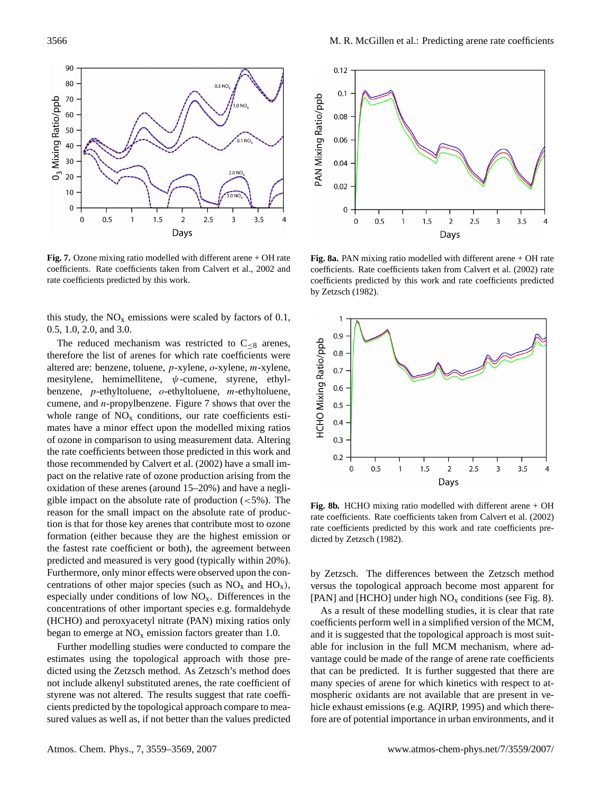

**Fig. 7.** Ozone mixing ratio modelled with different arene + OH rate coefficients. Rate coefficients taken from Calvert et al., 2002 and rate coefficients predicted by this work.

this study, the  $NO<sub>x</sub>$  emissions were scaled by factors of 0.1, 0.5, 1.0, 2.0, and 3.0.

The reduced mechanism was restricted to  $C_{\leq 8}$  arenes, therefore the list of arenes for which rate coefficients were altered are: benzene, toluene, p-xylene, o-xylene, m-xylene, mesitylene, hemimellitene,  $\psi$ -cumene, styrene, ethylbenzene, p-ethyltoluene, o-ethyltoluene, m-ethyltoluene, cumene, and n-propylbenzene. Figure 7 shows that over the whole range of  $NO<sub>x</sub>$  conditions, our rate coefficients estimates have a minor effect upon the modelled mixing ratios of ozone in comparison to using measurement data. Altering the rate coefficients between those predicted in this work and those recommended by Calvert et al. (2002) have a small impact on the relative rate of ozone production arising from the oxidation of these arenes (around 15–20%) and have a negligible impact on the absolute rate of production  $\left( < 5\% \right)$ . The reason for the small impact on the absolute rate of production is that for those key arenes that contribute most to ozone formation (either because they are the highest emission or the fastest rate coefficient or both), the agreement between predicted and measured is very good (typically within 20%). Furthermore, only minor effects were observed upon the concentrations of other major species (such as  $NO<sub>x</sub>$  and  $HO<sub>x</sub>$ ), especially under conditions of low  $NO<sub>x</sub>$ . Differences in the concentrations of other important species e.g. formaldehyde (HCHO) and peroxyacetyl nitrate (PAN) mixing ratios only began to emerge at  $NO<sub>x</sub>$  emission factors greater than 1.0.

Further modelling studies were conducted to compare the estimates using the topological approach with those predicted using the Zetzsch method. As Zetzsch's method does not include alkenyl substituted arenes, the rate coefficient of styrene was not altered. The results suggest that rate coefficients predicted by the topological approach compare to measured values as well as, if not better than the values predicted



**Fig. 8a.** PAN mixing ratio modelled with different arene  $+$  OH rate coefficients. Rate coefficients taken from Calvert et al. (2002) rate coefficients predicted by this work and rate coefficients predicted by Zetzsch (1982).



**Fig. 8b.** HCHO mixing ratio modelled with different arene + OH rate coefficients. Rate coefficients taken from Calvert et al. (2002) rate coefficients predicted by this work and rate coefficients predicted by Zetzsch (1982).

by Zetzsch. The differences between the Zetzsch method versus the topological approach become most apparent for [PAN] and [HCHO] under high  $NO<sub>x</sub>$  conditions (see Fig. 8).

As a result of these modelling studies, it is clear that rate coefficients perform well in a simplified version of the MCM, and it is suggested that the topological approach is most suitable for inclusion in the full MCM mechanism, where advantage could be made of the range of arene rate coefficients that can be predicted. It is further suggested that there are many species of arene for which kinetics with respect to atmospheric oxidants are not available that are present in vehicle exhaust emissions (e.g. AQIRP, 1995) and which therefore are of potential importance in urban environments, and it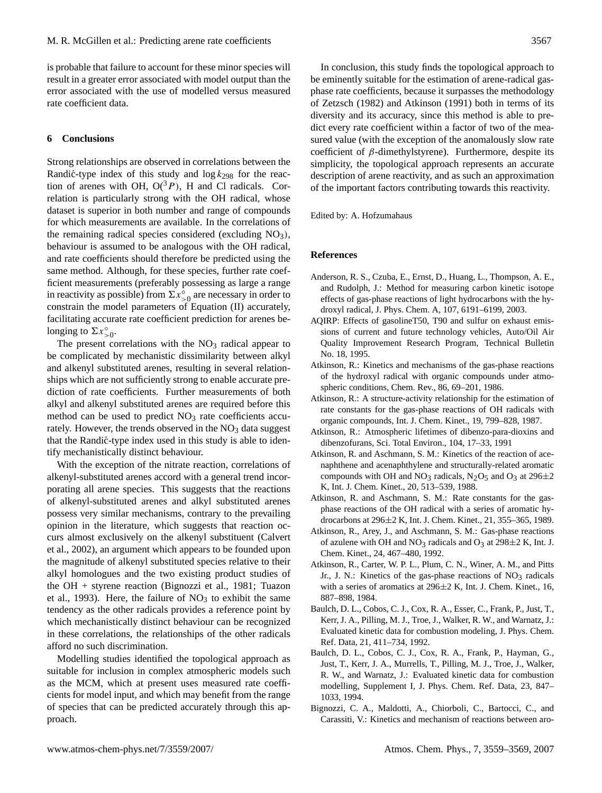is probable that failure to account for these minor species will result in a greater error associated with model output than the error associated with the use of modelled versus measured rate coefficient data.

### **6 Conclusions**

Strong relationships are observed in correlations between the Randić-type index of this study and  $\log k_{298}$  for the reaction of arenes with OH,  $O(^3P)$ , H and Cl radicals. Correlation is particularly strong with the OH radical, whose dataset is superior in both number and range of compounds for which measurements are available. In the correlations of the remaining radical species considered (excluding  $NO<sub>3</sub>$ ), behaviour is assumed to be analogous with the OH radical, and rate coefficients should therefore be predicted using the same method. Although, for these species, further rate coefficient measurements (preferably possessing as large a range in reactivity as possible) from  $\Sigma x_{>0}^{\circ}$  are necessary in order to constrain the model parameters of Equation (II) accurately, facilitating accurate rate coefficient prediction for arenes belonging to  $\Sigma x_{>0}^{\circ}$ .

The present correlations with the  $NO<sub>3</sub>$  radical appear to be complicated by mechanistic dissimilarity between alkyl and alkenyl substituted arenes, resulting in several relationships which are not sufficiently strong to enable accurate prediction of rate coefficients. Further measurements of both alkyl and alkenyl substituted arenes are required before this method can be used to predict  $NO<sub>3</sub>$  rate coefficients accurately. However, the trends observed in the  $NO<sub>3</sub>$  data suggest that the Randic-type index used in this study is able to iden- ´ tify mechanistically distinct behaviour.

With the exception of the nitrate reaction, correlations of alkenyl-substituted arenes accord with a general trend incorporating all arene species. This suggests that the reactions of alkenyl-substituted arenes and alkyl substituted arenes possess very similar mechanisms, contrary to the prevailing opinion in the literature, which suggests that reaction occurs almost exclusively on the alkenyl substituent (Calvert et al., 2002), an argument which appears to be founded upon the magnitude of alkenyl substituted species relative to their alkyl homologues and the two existing product studies of the OH + styrene reaction (Bignozzi et al., 1981; Tuazon et al., 1993). Here, the failure of  $NO<sub>3</sub>$  to exhibit the same tendency as the other radicals provides a reference point by which mechanistically distinct behaviour can be recognized in these correlations, the relationships of the other radicals afford no such discrimination.

Modelling studies identified the topological approach as suitable for inclusion in complex atmospheric models such as the MCM, which at present uses measured rate coefficients for model input, and which may benefit from the range of species that can be predicted accurately through this approach.

In conclusion, this study finds the topological approach to be eminently suitable for the estimation of arene-radical gasphase rate coefficients, because it surpasses the methodology of Zetzsch (1982) and Atkinson (1991) both in terms of its diversity and its accuracy, since this method is able to predict every rate coefficient within a factor of two of the measured value (with the exception of the anomalously slow rate coefficient of  $\beta$ -dimethylstyrene). Furthermore, despite its simplicity, the topological approach represents an accurate description of arene reactivity, and as such an approximation of the important factors contributing towards this reactivity.

Edited by: A. Hofzumahaus

#### **References**

- Anderson, R. S., Czuba, E., Ernst, D., Huang, L., Thompson, A. E., and Rudolph, J.: Method for measuring carbon kinetic isotope effects of gas-phase reactions of light hydrocarbons with the hydroxyl radical, J. Phys. Chem. A, 107, 6191–6199, 2003.
- AQIRP: Effects of gasolineT50, T90 and sulfur on exhaust emissions of current and future technology vehicles, Auto/Oil Air Quality Improvement Research Program, Technical Bulletin No. 18, 1995.
- Atkinson, R.: Kinetics and mechanisms of the gas-phase reactions of the hydroxyl radical with organic compounds under atmospheric conditions, Chem. Rev., 86, 69–201, 1986.
- Atkinson, R.: A structure-activity relationship for the estimation of rate constants for the gas-phase reactions of OH radicals with organic compounds, Int. J. Chem. Kinet., 19, 799–828, 1987.
- Atkinson, R.: Atmospheric lifetimes of dibenzo-para-dioxins and dibenzofurans, Sci. Total Environ., 104, 17–33, 1991
- Atkinson, R. and Aschmann, S. M.: Kinetics of the reaction of acenaphthene and acenaphthylene and structurally-related aromatic compounds with OH and NO<sub>3</sub> radicals, N<sub>2</sub>O<sub>5</sub> and O<sub>3</sub> at 296 $\pm$ 2 K, Int. J. Chem. Kinet., 20, 513–539, 1988.
- Atkinson, R. and Aschmann, S. M.: Rate constants for the gasphase reactions of the OH radical with a series of aromatic hydrocarbons at 296±2 K, Int. J. Chem. Kinet., 21, 355–365, 1989.
- Atkinson, R., Arey, J., and Aschmann, S. M.: Gas-phase reactions of azulene with OH and NO<sub>3</sub> radicals and O<sub>3</sub> at 298 $\pm$ 2 K, Int. J. Chem. Kinet., 24, 467–480, 1992.
- Atkinson, R., Carter, W. P. L., Plum, C. N., Winer, A. M., and Pitts Jr., J. N.: Kinetics of the gas-phase reactions of  $NO<sub>3</sub>$  radicals with a series of aromatics at  $296\pm2$  K, Int. J. Chem. Kinet., 16, 887–898, 1984.
- Baulch, D. L., Cobos, C. J., Cox, R. A., Esser, C., Frank, P., Just, T., Kerr, J. A., Pilling, M. J., Troe, J., Walker, R. W., and Warnatz, J.: Evaluated kinetic data for combustion modeling, J. Phys. Chem. Ref. Data, 21, 411–734, 1992.
- Baulch, D. L., Cobos, C. J., Cox, R. A., Frank, P., Hayman, G., Just, T., Kerr, J. A., Murrells, T., Pilling, M. J., Troe, J., Walker, R. W., and Warnatz, J.: Evaluated kinetic data for combustion modelling, Supplement I, J. Phys. Chem. Ref. Data, 23, 847– 1033, 1994.
- Bignozzi, C. A., Maldotti, A., Chiorboli, C., Bartocci, C., and Carassiti, V.: Kinetics and mechanism of reactions between aro-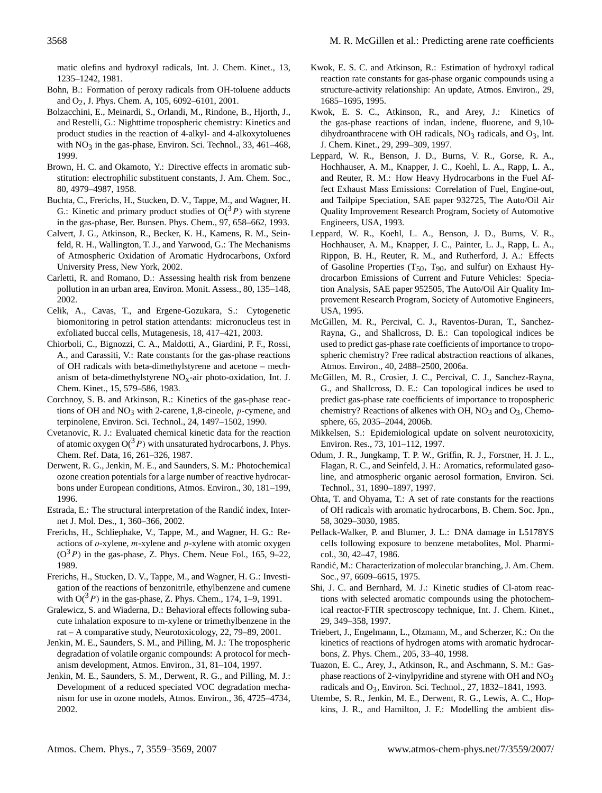matic olefins and hydroxyl radicals, Int. J. Chem. Kinet., 13, 1235–1242, 1981.

- Bohn, B.: Formation of peroxy radicals from OH-toluene adducts and  $O_2$ , J. Phys. Chem. A, 105, 6092–6101, 2001.
- Bolzacchini, E., Meinardi, S., Orlandi, M., Rindone, B., Hjorth, J., and Restelli, G.: Nighttime tropospheric chemistry: Kinetics and product studies in the reaction of 4-alkyl- and 4-alkoxytoluenes with  $NO<sub>3</sub>$  in the gas-phase, Environ. Sci. Technol., 33, 461–468, 1999.
- Brown, H. C. and Okamoto, Y.: Directive effects in aromatic substitution: electrophilic substituent constants, J. Am. Chem. Soc., 80, 4979–4987, 1958.
- Buchta, C., Frerichs, H., Stucken, D. V., Tappe, M., and Wagner, H. G.: Kinetic and primary product studies of  $O(3P)$  with styrene in the gas-phase, Ber. Bunsen. Phys. Chem., 97, 658–662, 1993.
- Calvert, J. G., Atkinson, R., Becker, K. H., Kamens, R. M., Seinfeld, R. H., Wallington, T. J., and Yarwood, G.: The Mechanisms of Atmospheric Oxidation of Aromatic Hydrocarbons, Oxford University Press, New York, 2002.
- Carletti, R. and Romano, D.: Assessing health risk from benzene pollution in an urban area, Environ. Monit. Assess., 80, 135–148, 2002.
- Celik, A., Cavas, T., and Ergene-Gozukara, S.: Cytogenetic biomonitoring in petrol station attendants: micronucleus test in exfoliated buccal cells, Mutagenesis, 18, 417–421, 2003.
- Chiorboli, C., Bignozzi, C. A., Maldotti, A., Giardini, P. F., Rossi, A., and Carassiti, V.: Rate constants for the gas-phase reactions of OH radicals with beta-dimethylstyrene and acetone – mechanism of beta-dimethylstyrene  $NO<sub>x</sub>$ -air photo-oxidation, Int. J. Chem. Kinet., 15, 579–586, 1983.
- Corchnoy, S. B. and Atkinson, R.: Kinetics of the gas-phase reactions of OH and  $NO<sub>3</sub>$  with 2-carene, 1,8-cineole, p-cymene, and terpinolene, Environ. Sci. Technol., 24, 1497–1502, 1990.
- Cvetanovic, R. J.: Evaluated chemical kinetic data for the reaction of atomic oxygen  $O({}^{3}P)$  with unsaturated hydrocarbons, J. Phys. Chem. Ref. Data, 16, 261–326, 1987.
- Derwent, R. G., Jenkin, M. E., and Saunders, S. M.: Photochemical ozone creation potentials for a large number of reactive hydrocarbons under European conditions, Atmos. Environ., 30, 181–199, 1996.
- Estrada, E.: The structural interpretation of the Randic index, Inter- ´ net J. Mol. Des., 1, 360–366, 2002.
- Frerichs, H., Schliephake, V., Tappe, M., and Wagner, H. G.: Reactions of  $o$ -xylene,  $m$ -xylene and  $p$ -xylene with atomic oxygen  $(O^3P)$  in the gas-phase, Z. Phys. Chem. Neue Fol., 165, 9–22, 1989.
- Frerichs, H., Stucken, D. V., Tappe, M., and Wagner, H. G.: Investigation of the reactions of benzonitrile, ethylbenzene and cumene with  $O(^3P)$  in the gas-phase, Z. Phys. Chem., 174, 1–9, 1991.
- Gralewicz, S. and Wiaderna, D.: Behavioral effects following subacute inhalation exposure to m-xylene or trimethylbenzene in the rat – A comparative study, Neurotoxicology, 22, 79–89, 2001.
- Jenkin, M. E., Saunders, S. M., and Pilling, M. J.: The tropospheric degradation of volatile organic compounds: A protocol for mechanism development, Atmos. Environ., 31, 81–104, 1997.
- Jenkin, M. E., Saunders, S. M., Derwent, R. G., and Pilling, M. J.: Development of a reduced speciated VOC degradation mechanism for use in ozone models, Atmos. Environ., 36, 4725–4734, 2002.
- Kwok, E. S. C. and Atkinson, R.: Estimation of hydroxyl radical reaction rate constants for gas-phase organic compounds using a structure-activity relationship: An update, Atmos. Environ., 29, 1685–1695, 1995.
- Kwok, E. S. C., Atkinson, R., and Arey, J.: Kinetics of the gas-phase reactions of indan, indene, fluorene, and 9,10 dihydroanthracene with OH radicals,  $NO<sub>3</sub>$  radicals, and  $O<sub>3</sub>$ , Int. J. Chem. Kinet., 29, 299–309, 1997.
- Leppard, W. R., Benson, J. D., Burns, V. R., Gorse, R. A., Hochhauser, A. M., Knapper, J. C., Koehl, L. A., Rapp, L. A., and Reuter, R. M.: How Heavy Hydrocarbons in the Fuel Affect Exhaust Mass Emissions: Correlation of Fuel, Engine-out, and Tailpipe Speciation, SAE paper 932725, The Auto/Oil Air Quality Improvement Research Program, Society of Automotive Engineers, USA, 1993.
- Leppard, W. R., Koehl, L. A., Benson, J. D., Burns, V. R., Hochhauser, A. M., Knapper, J. C., Painter, L. J., Rapp, L. A., Rippon, B. H., Reuter, R. M., and Rutherford, J. A.: Effects of Gasoline Properties (T<sub>50</sub>, T<sub>90</sub>, and sulfur) on Exhaust Hydrocarbon Emissions of Current and Future Vehicles: Speciation Analysis, SAE paper 952505, The Auto/Oil Air Quality Improvement Research Program, Society of Automotive Engineers, USA, 1995.
- McGillen, M. R., Percival, C. J., Raventos-Duran, T., Sanchez-Rayna, G., and Shallcross, D. E.: Can topological indices be used to predict gas-phase rate coefficients of importance to tropospheric chemistry? Free radical abstraction reactions of alkanes, Atmos. Environ., 40, 2488–2500, 2006a.
- McGillen, M. R., Crosier, J. C., Percival, C. J., Sanchez-Rayna, G., and Shallcross, D. E.: Can topological indices be used to predict gas-phase rate coefficients of importance to tropospheric chemistry? Reactions of alkenes with OH,  $NO<sub>3</sub>$  and  $O<sub>3</sub>$ , Chemosphere, 65, 2035–2044, 2006b.
- Mikkelsen, S.: Epidemiological update on solvent neurotoxicity, Environ. Res., 73, 101–112, 1997.
- Odum, J. R., Jungkamp, T. P. W., Griffin, R. J., Forstner, H. J. L., Flagan, R. C., and Seinfeld, J. H.: Aromatics, reformulated gasoline, and atmospheric organic aerosol formation, Environ. Sci. Technol., 31, 1890–1897, 1997.
- Ohta, T. and Ohyama, T.: A set of rate constants for the reactions of OH radicals with aromatic hydrocarbons, B. Chem. Soc. Jpn., 58, 3029–3030, 1985.
- Pellack-Walker, P. and Blumer, J. L.: DNA damage in L5178YS cells following exposure to benzene metabolites, Mol. Pharmicol., 30, 42–47, 1986.
- Randic, M.: Characterization of molecular branching, J. Am. Chem. ´ Soc., 97, 6609–6615, 1975.
- Shi, J. C. and Bernhard, M. J.: Kinetic studies of Cl-atom reactions with selected aromatic compounds using the photochemical reactor-FTIR spectroscopy technique, Int. J. Chem. Kinet., 29, 349–358, 1997.
- Triebert, J., Engelmann, L., Olzmann, M., and Scherzer, K.: On the kinetics of reactions of hydrogen atoms with aromatic hydrocarbons, Z. Phys. Chem., 205, 33–40, 1998.
- Tuazon, E. C., Arey, J., Atkinson, R., and Aschmann, S. M.: Gasphase reactions of 2-vinylpyridine and styrene with OH and NO3 radicals and O<sub>3</sub>, Environ. Sci. Technol., 27, 1832–1841, 1993.
- Utembe, S. R., Jenkin, M. E., Derwent, R. G., Lewis, A. C., Hopkins, J. R., and Hamilton, J. F.: Modelling the ambient dis-